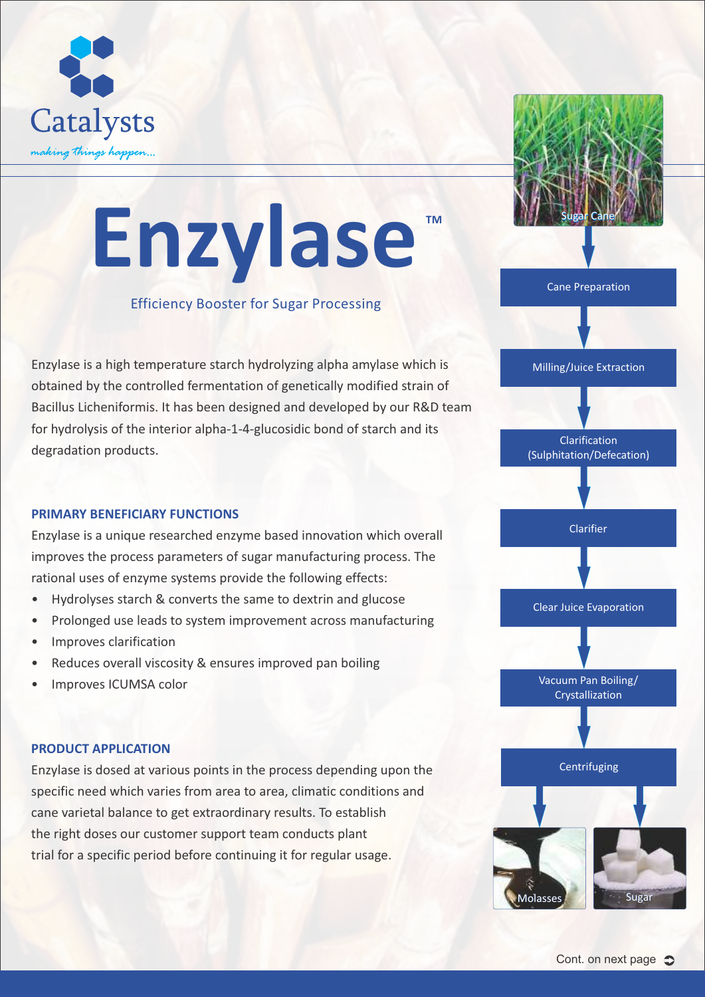

# **TM Enzylase**

#### Efficiency Booster for Sugar Processing

Enzylase is a high temperature starch hydrolyzing alpha amylase which is obtained by the controlled fermentation of genetically modified strain of Bacillus Licheniformis. It has been designed and developed by our R&D team for hydrolysis of the interior alpha-1-4-glucosidic bond of starch and its degradation products.

#### **PRIMARY BENEFICIARY FUNCTIONS**

Enzylase is a unique researched enzyme based innovation which overall improves the process parameters of sugar manufacturing process. The rational uses of enzyme systems provide the following effects:

- Hydrolyses starch & converts the same to dextrin and glucose
- Prolonged use leads to system improvement across manufacturing
- Improves clarification
- Reduces overall viscosity & ensures improved pan boiling
- Improves ICUMSA color

#### **PRODUCT APPLICATION**

Enzylase is dosed at various points in the process depending upon the specific need which varies from area to area, climatic conditions and cane varietal balance to get extraordinary results. To establish the right doses our customer support team conducts plant trial for a specific period before continuing it for regular usage.